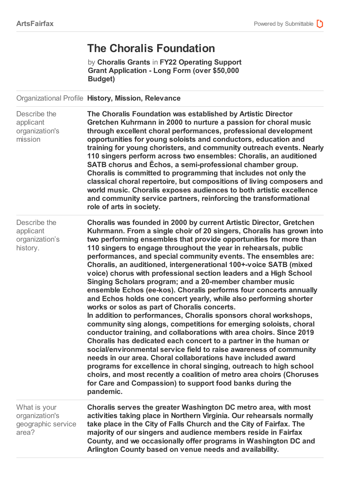## **The Choralis Foundation**

by **Choralis Grants** in **FY22 Operating Support Grant Application - Long Form (over \$50,000 Budget)**

Organizational Profile **History, Mission, Relevance**

| Describe the<br>applicant<br>organization's<br>mission        | The Choralis Foundation was established by Artistic Director<br>Gretchen Kuhrmann in 2000 to nurture a passion for choral music<br>through excellent choral performances, professional development<br>opportunities for young soloists and conductors, education and<br>training for young choristers, and community outreach events. Nearly<br>110 singers perform across two ensembles: Choralis, an auditioned<br>SATB chorus and Echos, a semi-professional chamber group.<br>Choralis is committed to programming that includes not only the<br>classical choral repertoire, but compositions of living composers and<br>world music. Choralis exposes audiences to both artistic excellence<br>and community service partners, reinforcing the transformational<br>role of arts in society.                                                                                                                                                                                                                                                                                                                                                                                                                                                                                                                                                                                                      |
|---------------------------------------------------------------|--------------------------------------------------------------------------------------------------------------------------------------------------------------------------------------------------------------------------------------------------------------------------------------------------------------------------------------------------------------------------------------------------------------------------------------------------------------------------------------------------------------------------------------------------------------------------------------------------------------------------------------------------------------------------------------------------------------------------------------------------------------------------------------------------------------------------------------------------------------------------------------------------------------------------------------------------------------------------------------------------------------------------------------------------------------------------------------------------------------------------------------------------------------------------------------------------------------------------------------------------------------------------------------------------------------------------------------------------------------------------------------------------------|
| Describe the<br>applicant<br>organization's<br>history.       | Choralis was founded in 2000 by current Artistic Director, Gretchen<br>Kuhrmann. From a single choir of 20 singers, Choralis has grown into<br>two performing ensembles that provide opportunities for more than<br>110 singers to engage throughout the year in rehearsals, public<br>performances, and special community events. The ensembles are:<br>Choralis, an auditioned, intergenerational 100+-voice SATB (mixed<br>voice) chorus with professional section leaders and a High School<br>Singing Scholars program; and a 20-member chamber music<br>ensemble Echos (ee-kos). Choralis performs four concerts annually<br>and Echos holds one concert yearly, while also performing shorter<br>works or solos as part of Choralis concerts.<br>In addition to performances, Choralis sponsors choral workshops,<br>community sing alongs, competitions for emerging soloists, choral<br>conductor training, and collaborations with area choirs. Since 2019<br>Choralis has dedicated each concert to a partner in the human or<br>social/environmental service field to raise awareness of community<br>needs in our area. Choral collaborations have included award<br>programs for excellence in choral singing, outreach to high school<br>choirs, and most recently a coalition of metro area choirs (Choruses<br>for Care and Compassion) to support food banks during the<br>pandemic. |
| What is your<br>organization's<br>geographic service<br>area? | Choralis serves the greater Washington DC metro area, with most<br>activities taking place in Northern Virginia. Our rehearsals normally<br>take place in the City of Falls Church and the City of Fairfax. The<br>majority of our singers and audience members reside in Fairfax<br>County, and we occasionally offer programs in Washington DC and<br>Arlington County based on venue needs and availability.                                                                                                                                                                                                                                                                                                                                                                                                                                                                                                                                                                                                                                                                                                                                                                                                                                                                                                                                                                                        |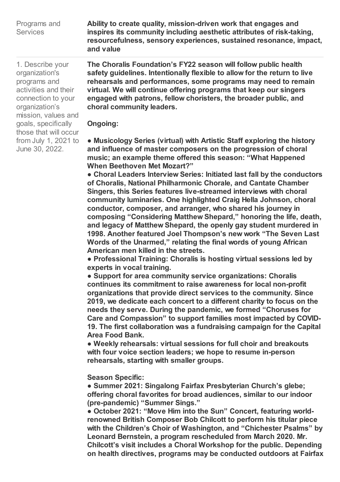| Programs and    | Ability to create quality, mission-driven work that engages and       |
|-----------------|-----------------------------------------------------------------------|
| <b>Services</b> | inspires its community including aesthetic attributes of risk-taking, |
|                 | resourcefulness, sensory experiences, sustained resonance, impact,    |
|                 | and value                                                             |

1. Describe your organization's programs and activities and their connection to your organization's mission, values and goals, specifically those that will occur from July 1, 2021 to June 30, 2022.

**The Choralis Foundation's FY22 season will follow public health safety guidelines. Intentionally flexible to allow for the return to live rehearsals and performances, some programs may need to remain virtual. We will continue offering programs that keep our singers engaged with patrons, fellow choristers, the broader public, and choral community leaders.** 

**Ongoing:** 

**● Musicology Series (virtual) with Artistic Staff exploring the history and influence of master composers on the progression of choral music; an example theme offered this season: "What Happened When Beethoven Met Mozart?"**

**● Choral Leaders Interview Series: Initiated last fall by the conductors of Choralis, National Philharmonic Chorale, and Cantate Chamber Singers, this Series features live-streamed interviews with choral community luminaries. One highlighted Craig Hella Johnson, choral conductor, composer, and arranger, who shared his journey in composing "Considering Matthew Shepard," honoring the life, death, and legacy of Matthew Shepard, the openly gay student murdered in 1998. Another featured Joel Thompson's new work "The Seven Last Words of the Unarmed," relating the final words of young African American men killed in the streets.**

**● Professional Training: Choralis is hosting virtual sessions led by experts in vocal training.**

**● Support for area community service organizations: Choralis continues its commitment to raise awareness for local non-profit organizations that provide direct services to the community. Since 2019, we dedicate each concert to a different charity to focus on the needs they serve. During the pandemic, we formed "Choruses for Care and Compassion" to support families most impacted by COVID-19. The first collaboration was a fundraising campaign for the Capital Area Food Bank.**

**● Weekly rehearsals: virtual sessions for full choir and breakouts with four voice section leaders; we hope to resume in-person rehearsals, starting with smaller groups.**

**Season Specific:** 

**● Summer 2021: Singalong Fairfax Presbyterian Church's glebe; offering choral favorites for broad audiences, similar to our indoor (pre-pandemic) "Summer Sings."**

**● October 2021: "Move Him into the Sun" Concert, featuring worldrenowned British Composer Bob Chilcott to perform his titular piece with the Children's Choir of Washington, and "Chichester Psalms" by Leonard Bernstein, a program rescheduled from March 2020. Mr. Chilcott's visit includes a Choral Workshop for the public. Depending on health directives, programs may be conducted outdoors at Fairfax**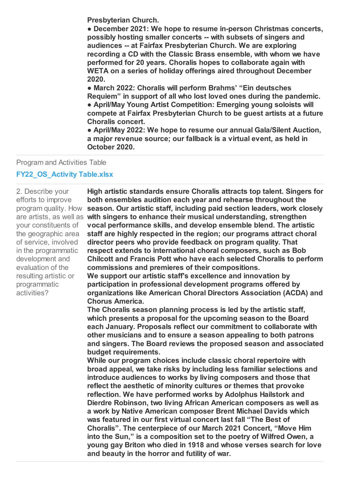**Presbyterian Church.** 

**● December 2021: We hope to resume in-person Christmas concerts, possibly hosting smaller concerts -- with subsets of singers and audiences -- at Fairfax Presbyterian Church. We are exploring recording a CD with the Classic Brass ensemble, with whom we have performed for 20 years. Choralis hopes to collaborate again with WETA on a series of holiday offerings aired throughout December 2020.**

**● March 2022: Choralis will perform Brahms' "Ein deutsches Requiem" in support of all who lost loved ones during the pandemic. ● April/May Young Artist Competition: Emerging young soloists will compete at Fairfax Presbyterian Church to be guest artists at a future Choralis concert.**

**● April/May 2022: We hope to resume our annual Gala/Silent Auction, a major revenue source; our fallback is a virtual event, as held in October 2020.**

Program and Activities Table

## **FY22\_OS\_Activity Table.xlsx**

2. Describe your efforts to improve program quality. How your constituents of the geographic area of service, involved in the programmatic development and evaluation of the resulting artistic or programmatic activities?

are artists, as well as **with singers to enhance their musical understanding, strengthen High artistic standards ensure Choralis attracts top talent. Singers for both ensembles audition each year and rehearse throughout the season. Our artistic staff, including paid section leaders, work closely vocal performance skills, and develop ensemble blend. The artistic staff are highly respected in the region; our programs attract choral director peers who provide feedback on program quality. That respect extends to international choral composers, such as Bob Chilcott and Francis Pott who have each selected Choralis to perform commissions and premieres of their compositions.** 

**We support our artistic staff's excellence and innovation by participation in professional development programs offered by organizations like American Choral Directors Association (ACDA) and Chorus America.** 

**The Choralis season planning process is led by the artistic staff, which presents a proposal for the upcoming season to the Board each January. Proposals reflect our commitment to collaborate with other musicians and to ensure a season appealing to both patrons and singers. The Board reviews the proposed season and associated budget requirements.** 

**While our program choices include classic choral repertoire with broad appeal, we take risks by including less familiar selections and introduce audiences to works by living composers and those that reflect the aesthetic of minority cultures or themes that provoke reflection. We have performed works by Adolphus Hailstork and Dierdre Robinson, two living African American composers as well as a work by Native American composer Brent Michael Davids which was featured in our first virtual concert last fall "The Best of Choralis". The centerpiece of our March 2021 Concert, "Move Him into the Sun," is a composition set to the poetry of Wilfred Owen, a young gay Briton who died in 1918 and whose verses search for love and beauty in the horror and futility of war.**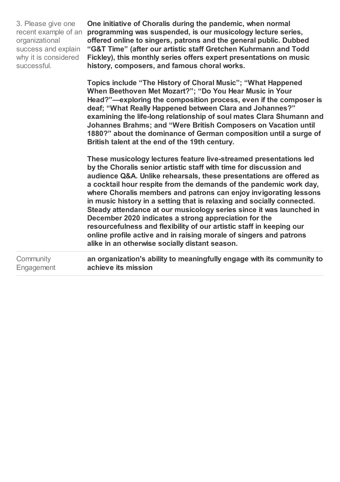| 3. Please give one   | One initiative of Choralis during the pandemic, when normal                                                                                                                                                                                                                                                                                                                                                                                                                                                                                                                                                                                                                                                                                                         |
|----------------------|---------------------------------------------------------------------------------------------------------------------------------------------------------------------------------------------------------------------------------------------------------------------------------------------------------------------------------------------------------------------------------------------------------------------------------------------------------------------------------------------------------------------------------------------------------------------------------------------------------------------------------------------------------------------------------------------------------------------------------------------------------------------|
| recent example of an | programming was suspended, is our musicology lecture series,                                                                                                                                                                                                                                                                                                                                                                                                                                                                                                                                                                                                                                                                                                        |
| organizational       | offered online to singers, patrons and the general public. Dubbed                                                                                                                                                                                                                                                                                                                                                                                                                                                                                                                                                                                                                                                                                                   |
| success and explain  | "G&T Time" (after our artistic staff Gretchen Kuhrmann and Todd                                                                                                                                                                                                                                                                                                                                                                                                                                                                                                                                                                                                                                                                                                     |
| why it is considered | Fickley), this monthly series offers expert presentations on music                                                                                                                                                                                                                                                                                                                                                                                                                                                                                                                                                                                                                                                                                                  |
| successful.          | history, composers, and famous choral works.                                                                                                                                                                                                                                                                                                                                                                                                                                                                                                                                                                                                                                                                                                                        |
|                      | Topics include "The History of Choral Music"; "What Happened<br>When Beethoven Met Mozart?"; "Do You Hear Music in Your<br>Head?"-exploring the composition process, even if the composer is<br>deaf; "What Really Happened between Clara and Johannes?"<br>examining the life-long relationship of soul mates Clara Shumann and<br>Johannes Brahms; and "Were British Composers on Vacation until<br>1880?" about the dominance of German composition until a surge of<br>British talent at the end of the 19th century.                                                                                                                                                                                                                                           |
|                      | These musicology lectures feature live-streamed presentations led<br>by the Choralis senior artistic staff with time for discussion and<br>audience Q&A. Unlike rehearsals, these presentations are offered as<br>a cocktail hour respite from the demands of the pandemic work day,<br>where Choralis members and patrons can enjoy invigorating lessons<br>in music history in a setting that is relaxing and socially connected.<br>Steady attendance at our musicology series since it was launched in<br>December 2020 indicates a strong appreciation for the<br>resourcefulness and flexibility of our artistic staff in keeping our<br>online profile active and in raising morale of singers and patrons<br>alike in an otherwise socially distant season. |
| Community            | an organization's ability to meaningfully engage with its community to                                                                                                                                                                                                                                                                                                                                                                                                                                                                                                                                                                                                                                                                                              |
| Engagement           | achieve its mission                                                                                                                                                                                                                                                                                                                                                                                                                                                                                                                                                                                                                                                                                                                                                 |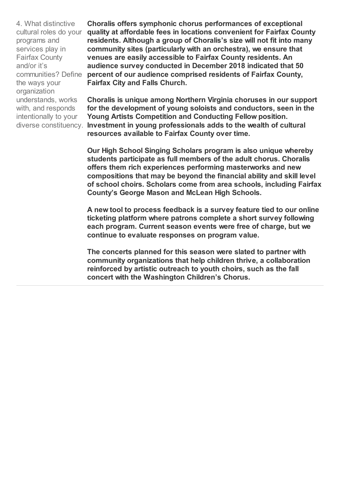4. What distinctive cultural roles do your programs and services play in Fairfax County and/or it's communities? Define the ways your organization understands, works with, and responds intentionally to your

**Choralis offers symphonic chorus performances of exceptional quality at affordable fees in locations convenient for Fairfax County residents. Although a group of Choralis's size will not fit into many community sites (particularly with an orchestra), we ensure that venues are easily accessible to Fairfax County residents. An audience survey conducted in December 2018 indicated that 50 percent of our audience comprised residents of Fairfax County, Fairfax City and Falls Church.** 

diverse constituency. Investment in young professionals adds to the wealth of cultural **Choralis is unique among Northern Virginia choruses in our support for the development of young soloists and conductors, seen in the Young Artists Competition and Conducting Fellow position. resources available to Fairfax County over time.** 

> **Our High School Singing Scholars program is also unique whereby students participate as full members of the adult chorus. Choralis offers them rich experiences performing masterworks and new compositions that may be beyond the financial ability and skill level of school choirs. Scholars come from area schools, including Fairfax County's George Mason and McLean High Schools.**

> **A new tool to process feedback is a survey feature tied to our online ticketing platform where patrons complete a short survey following each program. Current season events were free of charge, but we continue to evaluate responses on program value.**

**The concerts planned for this season were slated to partner with community organizations that help children thrive, a collaboration reinforced by artistic outreach to youth choirs, such as the fall concert with the Washington Children's Chorus.**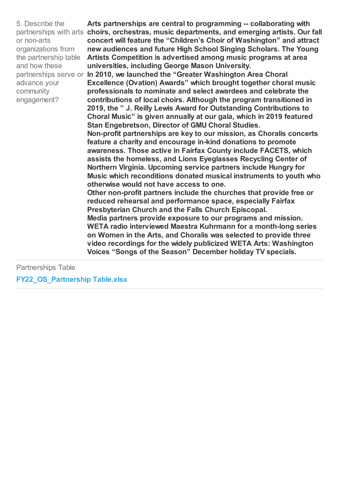5. Describe the or non-arts organizations from the partnership table and how these advance your community engagement?

partnerships with arts choirs, orchestras, music departments, and emerging artists. Our fall **Arts partnerships are central to programming -- collaborating with concert will feature the "Children's Choir of Washington" and attract new audiences and future High School Singing Scholars. The Young Artists Competition is advertised among music programs at area universities, including George Mason University.** 

partnerships serve or **In 2010, we launched the "Greater Washington Area Choral Excellence (Ovation) Awards" which brought together choral music professionals to nominate and select awardees and celebrate the contributions of local choirs. Although the program transitioned in 2019, the " J. Reilly Lewis Award for Outstanding Contributions to Choral Music" is given annually at our gala, which in 2019 featured Stan Engebretson, Director of GMU Choral Studies.** 

> **Non-profit partnerships are key to our mission, as Choralis concerts feature a charity and encourage in-kind donations to promote awareness. Those active in Fairfax County include FACETS, which assists the homeless, and Lions Eyeglasses Recycling Center of Northern Virginia. Upcoming service partners include Hungry for Music which reconditions donated musical instruments to youth who otherwise would not have access to one.**

**Other non-profit partners include the churches that provide free or reduced rehearsal and performance space, especially Fairfax Presbyterian Church and the Falls Church Episcopal.** 

**Media partners provide exposure to our programs and mission. WETA radio interviewed Maestra Kuhrmann for a month-long series on Women in the Arts, and Choralis was selected to provide three video recordings for the widely publicized WETA Arts: Washington Voices "Songs of the Season" December holiday TV specials.**

Partnerships Table

**FY22\_OS\_Partnership Table.xlsx**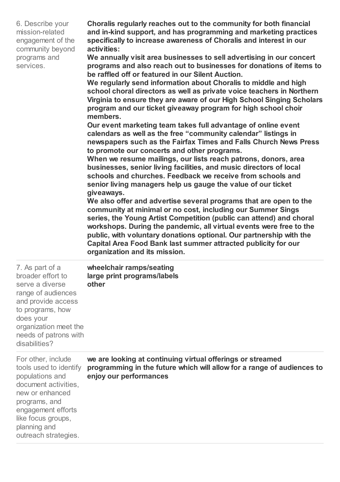| 6. Describe your  |  |
|-------------------|--|
| mission-related   |  |
| engagement of the |  |
| community beyond  |  |
| programs and      |  |
| services.         |  |
|                   |  |

**Choralis regularly reaches out to the community for both financial and in-kind support, and has programming and marketing practices specifically to increase awareness of Choralis and interest in our activities:** 

**We annually visit area businesses to sell advertising in our concert programs and also reach out to businesses for donations of items to be raffled off or featured in our Silent Auction.** 

**We regularly send information about Choralis to middle and high school choral directors as well as private voice teachers in Northern Virginia to ensure they are aware of our High School Singing Scholars program and our ticket giveaway program for high school choir members.** 

**Our event marketing team takes full advantage of online event calendars as well as the free "community calendar" listings in newspapers such as the Fairfax Times and Falls Church News Press to promote our concerts and other programs.** 

**When we resume mailings, our lists reach patrons, donors, area businesses, senior living facilities, and music directors of local schools and churches. Feedback we receive from schools and senior living managers help us gauge the value of our ticket giveaways.** 

**We also offer and advertise several programs that are open to the community at minimal or no cost, including our Summer Sings series, the Young Artist Competition (public can attend) and choral workshops. During the pandemic, all virtual events were free to the public, with voluntary donations optional. Our partnership with the Capital Area Food Bank last summer attracted publicity for our organization and its mission.**

| 7. As part of a<br>broader effort to<br>serve a diverse<br>range of audiences<br>and provide access<br>to programs, how<br>does your<br>organization meet the<br>needs of patrons with<br>disabilities?         | wheelchair ramps/seating<br>large print programs/labels<br>other                                                                                               |
|-----------------------------------------------------------------------------------------------------------------------------------------------------------------------------------------------------------------|----------------------------------------------------------------------------------------------------------------------------------------------------------------|
| For other, include<br>tools used to identify<br>populations and<br>document activities,<br>new or enhanced<br>programs, and<br>engagement efforts<br>like focus groups,<br>planning and<br>outreach strategies. | we are looking at continuing virtual offerings or streamed<br>programming in the future which will allow for a range of audiences to<br>enjoy our performances |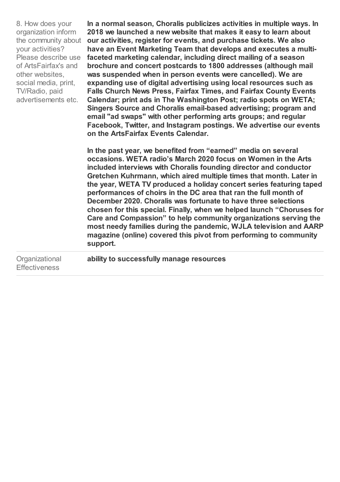| 8. How does your<br>organization inform<br>the community about<br>your activities?<br>Please describe use<br>of ArtsFairfax's and<br>other websites,<br>social media, print,<br>TV/Radio, paid<br>advertisements etc. | In a normal season, Choralis publicizes activities in multiple ways. In<br>2018 we launched a new website that makes it easy to learn about<br>our activities, register for events, and purchase tickets. We also<br>have an Event Marketing Team that develops and executes a multi-<br>faceted marketing calendar, including direct mailing of a season<br>brochure and concert postcards to 1800 addresses (although mail<br>was suspended when in person events were cancelled). We are<br>expanding use of digital advertising using local resources such as<br><b>Falls Church News Press, Fairfax Times, and Fairfax County Events</b><br>Calendar; print ads in The Washington Post; radio spots on WETA;<br>Singers Source and Choralis email-based advertising; program and<br>email "ad swaps" with other performing arts groups; and regular<br>Facebook, Twitter, and Instagram postings. We advertise our events<br>on the ArtsFairfax Events Calendar. |
|-----------------------------------------------------------------------------------------------------------------------------------------------------------------------------------------------------------------------|-----------------------------------------------------------------------------------------------------------------------------------------------------------------------------------------------------------------------------------------------------------------------------------------------------------------------------------------------------------------------------------------------------------------------------------------------------------------------------------------------------------------------------------------------------------------------------------------------------------------------------------------------------------------------------------------------------------------------------------------------------------------------------------------------------------------------------------------------------------------------------------------------------------------------------------------------------------------------|
|                                                                                                                                                                                                                       | In the past year, we benefited from "earned" media on several<br>occasions. WETA radio's March 2020 focus on Women in the Arts<br>included interviews with Choralis founding director and conductor<br>Gretchen Kuhrmann, which aired multiple times that month. Later in<br>the year, WETA TV produced a holiday concert series featuring taped<br>performances of choirs in the DC area that ran the full month of<br>December 2020. Choralis was fortunate to have three selections<br>chosen for this special. Finally, when we helped launch "Choruses for<br>Care and Compassion" to help community organizations serving the<br>most needy families during the pandemic, WJLA television and AARP<br>magazine (online) covered this pivot from performing to community<br>support.                                                                                                                                                                             |
| Organizational<br><b>Effectiveness</b>                                                                                                                                                                                | ability to successfully manage resources                                                                                                                                                                                                                                                                                                                                                                                                                                                                                                                                                                                                                                                                                                                                                                                                                                                                                                                              |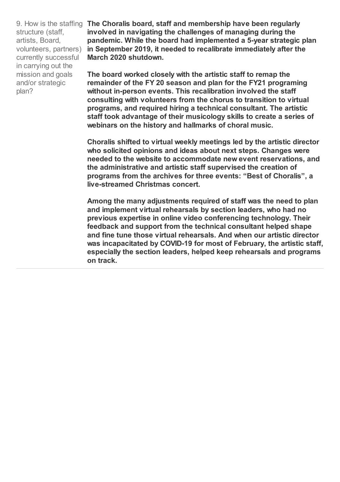structure (staff, artists, Board, volunteers, partners) currently successful in carrying out the mission and goals and/or strategic plan?

9. How is the staffing **The Choralis board, staff and membership have been regularly involved in navigating the challenges of managing during the pandemic. While the board had implemented a 5-year strategic plan in September 2019, it needed to recalibrate immediately after the March 2020 shutdown.** 

> **The board worked closely with the artistic staff to remap the remainder of the FY 20 season and plan for the FY21 programing without in-person events. This recalibration involved the staff consulting with volunteers from the chorus to transition to virtual programs, and required hiring a technical consultant. The artistic staff took advantage of their musicology skills to create a series of webinars on the history and hallmarks of choral music.**

**Choralis shifted to virtual weekly meetings led by the artistic director who solicited opinions and ideas about next steps. Changes were needed to the website to accommodate new event reservations, and the administrative and artistic staff supervised the creation of programs from the archives for three events: "Best of Choralis", a live-streamed Christmas concert.** 

**Among the many adjustments required of staff was the need to plan and implement virtual rehearsals by section leaders, who had no previous expertise in online video conferencing technology. Their feedback and support from the technical consultant helped shape and fine tune those virtual rehearsals. And when our artistic director was incapacitated by COVID-19 for most of February, the artistic staff, especially the section leaders, helped keep rehearsals and programs on track.**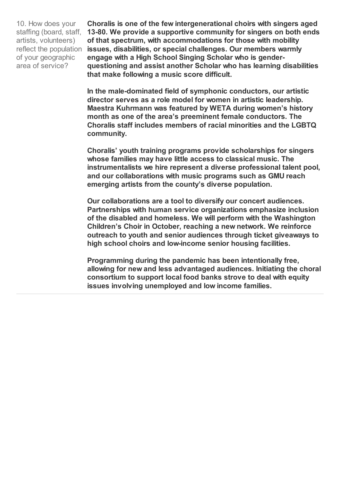10. How does your staffing (board, staff, artists, volunteers) reflect the population of your geographic area of service?

**Choralis is one of the few intergenerational choirs with singers aged 13-80. We provide a supportive community for singers on both ends of that spectrum, with accommodations for those with mobility issues, disabilities, or special challenges. Our members warmly engage with a High School Singing Scholar who is genderquestioning and assist another Scholar who has learning disabilities that make following a music score difficult.**

**In the male-dominated field of symphonic conductors, our artistic director serves as a role model for women in artistic leadership. Maestra Kuhrmann was featured by WETA during women's history month as one of the area's preeminent female conductors. The Choralis staff includes members of racial minorities and the LGBTQ community.** 

**Choralis' youth training programs provide scholarships for singers whose families may have little access to classical music. The instrumentalists we hire represent a diverse professional talent pool, and our collaborations with music programs such as GMU reach emerging artists from the county's diverse population.** 

**Our collaborations are a tool to diversify our concert audiences. Partnerships with human service organizations emphasize inclusion of the disabled and homeless. We will perform with the Washington Children's Choir in October, reaching a new network. We reinforce outreach to youth and senior audiences through ticket giveaways to high school choirs and low-income senior housing facilities.** 

**Programming during the pandemic has been intentionally free, allowing for new and less advantaged audiences. Initiating the choral consortium to support local food banks strove to deal with equity issues involving unemployed and low income families.**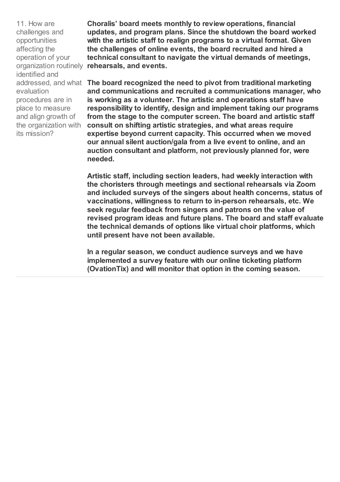11. How are challenges and opportunities affecting the operation of your organization routinely identified and evaluation procedures are in place to measure and align growth of the organization with its mission?

**Choralis' board meets monthly to review operations, financial updates, and program plans. Since the shutdown the board worked with the artistic staff to realign programs to a virtual format. Given the challenges of online events, the board recruited and hired a technical consultant to navigate the virtual demands of meetings, rehearsals, and events.** 

addressed, and what **The board recognized the need to pivot from traditional marketing and communications and recruited a communications manager, who is working as a volunteer. The artistic and operations staff have responsibility to identify, design and implement taking our programs from the stage to the computer screen. The board and artistic staff consult on shifting artistic strategies, and what areas require expertise beyond current capacity. This occurred when we moved our annual silent auction/gala from a live event to online, and an auction consultant and platform, not previously planned for, were needed.** 

> **Artistic staff, including section leaders, had weekly interaction with the choristers through meetings and sectional rehearsals via Zoom and included surveys of the singers about health concerns, status of vaccinations, willingness to return to in-person rehearsals, etc. We seek regular feedback from singers and patrons on the value of revised program ideas and future plans. The board and staff evaluate the technical demands of options like virtual choir platforms, which until present have not been available.**

**In a regular season, we conduct audience surveys and we have implemented a survey feature with our online ticketing platform (OvationTix) and will monitor that option in the coming season.**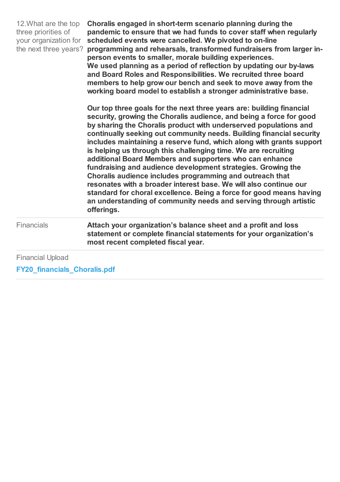| 12. What are the top<br>three priorities of<br>your organization for<br>the next three years? | Choralis engaged in short-term scenario planning during the<br>pandemic to ensure that we had funds to cover staff when regularly<br>scheduled events were cancelled. We pivoted to on-line<br>programming and rehearsals, transformed fundraisers from larger in-<br>person events to smaller, morale building experiences.<br>We used planning as a period of reflection by updating our by-laws<br>and Board Roles and Responsibilities. We recruited three board<br>members to help grow our bench and seek to move away from the<br>working board model to establish a stronger administrative base.<br>Our top three goals for the next three years are: building financial<br>security, growing the Choralis audience, and being a force for good<br>by sharing the Choralis product with underserved populations and<br>continually seeking out community needs. Building financial security<br>includes maintaining a reserve fund, which along with grants support<br>is helping us through this challenging time. We are recruiting<br>additional Board Members and supporters who can enhance<br>fundraising and audience development strategies. Growing the<br>Choralis audience includes programming and outreach that<br>resonates with a broader interest base. We will also continue our<br>standard for choral excellence. Being a force for good means having<br>an understanding of community needs and serving through artistic<br>offerings. |
|-----------------------------------------------------------------------------------------------|---------------------------------------------------------------------------------------------------------------------------------------------------------------------------------------------------------------------------------------------------------------------------------------------------------------------------------------------------------------------------------------------------------------------------------------------------------------------------------------------------------------------------------------------------------------------------------------------------------------------------------------------------------------------------------------------------------------------------------------------------------------------------------------------------------------------------------------------------------------------------------------------------------------------------------------------------------------------------------------------------------------------------------------------------------------------------------------------------------------------------------------------------------------------------------------------------------------------------------------------------------------------------------------------------------------------------------------------------------------------------------------------------------------------------------------------------------------------|
| <b>Financials</b>                                                                             | Attach your organization's balance sheet and a profit and loss<br>statement or complete financial statements for your organization's<br>most recent completed fiscal year.                                                                                                                                                                                                                                                                                                                                                                                                                                                                                                                                                                                                                                                                                                                                                                                                                                                                                                                                                                                                                                                                                                                                                                                                                                                                                          |
| <b>Financial Upload</b>                                                                       |                                                                                                                                                                                                                                                                                                                                                                                                                                                                                                                                                                                                                                                                                                                                                                                                                                                                                                                                                                                                                                                                                                                                                                                                                                                                                                                                                                                                                                                                     |

**FY20\_financials\_Choralis.pdf**